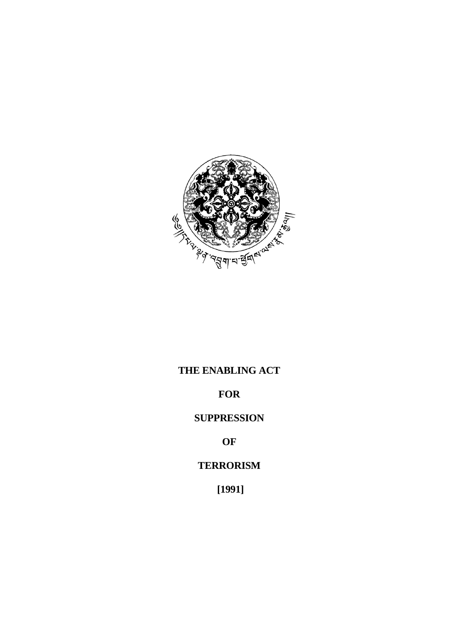

# **THE ENABLING ACT**

## **FOR**

## **SUPPRESSION**

## **OF**

## **TERRORISM**

 **[1991]**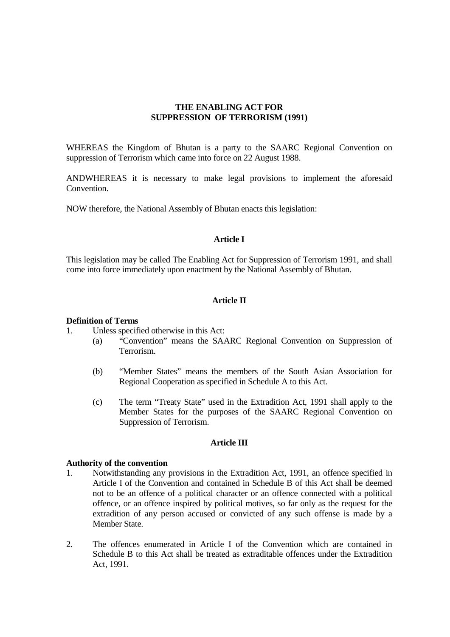## **THE ENABLING ACT FOR SUPPRESSION OF TERRORISM (1991)**

WHEREAS the Kingdom of Bhutan is a party to the SAARC Regional Convention on suppression of Terrorism which came into force on 22 August 1988.

ANDWHEREAS it is necessary to make legal provisions to implement the aforesaid Convention.

NOW therefore, the National Assembly of Bhutan enacts this legislation:

## **Article I**

This legislation may be called The Enabling Act for Suppression of Terrorism 1991, and shall come into force immediately upon enactment by the National Assembly of Bhutan.

### **Article II**

#### **Definition of Terms**

1. Unless specified otherwise in this Act:

- (a) "Convention" means the SAARC Regional Convention on Suppression of Terrorism.
- (b) "Member States" means the members of the South Asian Association for Regional Cooperation as specified in Schedule A to this Act.
- (c) The term "Treaty State" used in the Extradition Act, 1991 shall apply to the Member States for the purposes of the SAARC Regional Convention on Suppression of Terrorism.

## **Article III**

#### **Authority of the convention**

- 1. Notwithstanding any provisions in the Extradition Act, 1991, an offence specified in Article I of the Convention and contained in Schedule B of this Act shall be deemed not to be an offence of a political character or an offence connected with a political offence, or an offence inspired by political motives, so far only as the request for the extradition of any person accused or convicted of any such offense is made by a Member State.
- 2. The offences enumerated in Article I of the Convention which are contained in Schedule B to this Act shall be treated as extraditable offences under the Extradition Act, 1991.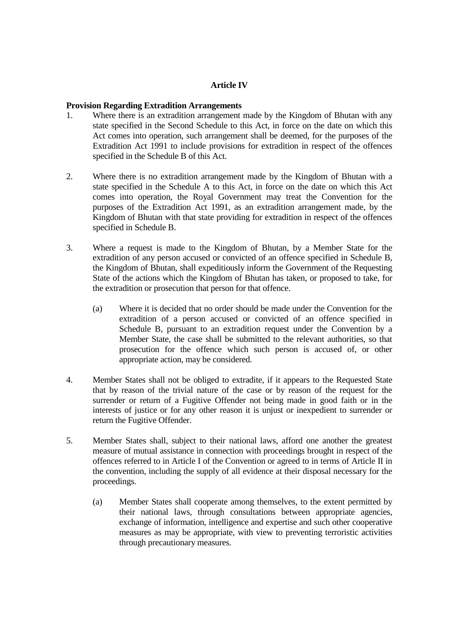## **Article IV**

## **Provision Regarding Extradition Arrangements**

- 1. Where there is an extradition arrangement made by the Kingdom of Bhutan with any state specified in the Second Schedule to this Act, in force on the date on which this Act comes into operation, such arrangement shall be deemed, for the purposes of the Extradition Act 1991 to include provisions for extradition in respect of the offences specified in the Schedule B of this Act.
- 2. Where there is no extradition arrangement made by the Kingdom of Bhutan with a state specified in the Schedule A to this Act, in force on the date on which this Act comes into operation, the Royal Government may treat the Convention for the purposes of the Extradition Act 1991, as an extradition arrangement made, by the Kingdom of Bhutan with that state providing for extradition in respect of the offences specified in Schedule B.
- 3. Where a request is made to the Kingdom of Bhutan, by a Member State for the extradition of any person accused or convicted of an offence specified in Schedule B, the Kingdom of Bhutan, shall expeditiously inform the Government of the Requesting State of the actions which the Kingdom of Bhutan has taken, or proposed to take, for the extradition or prosecution that person for that offence.
	- (a) Where it is decided that no order should be made under the Convention for the extradition of a person accused or convicted of an offence specified in Schedule B, pursuant to an extradition request under the Convention by a Member State, the case shall be submitted to the relevant authorities, so that prosecution for the offence which such person is accused of, or other appropriate action, may be considered.
- 4. Member States shall not be obliged to extradite, if it appears to the Requested State that by reason of the trivial nature of the case or by reason of the request for the surrender or return of a Fugitive Offender not being made in good faith or in the interests of justice or for any other reason it is unjust or inexpedient to surrender or return the Fugitive Offender.
- 5. Member States shall, subject to their national laws, afford one another the greatest measure of mutual assistance in connection with proceedings brought in respect of the offences referred to in Article I of the Convention or agreed to in terms of Article II in the convention, including the supply of all evidence at their disposal necessary for the proceedings.
	- (a) Member States shall cooperate among themselves, to the extent permitted by their national laws, through consultations between appropriate agencies, exchange of information, intelligence and expertise and such other cooperative measures as may be appropriate, with view to preventing terroristic activities through precautionary measures.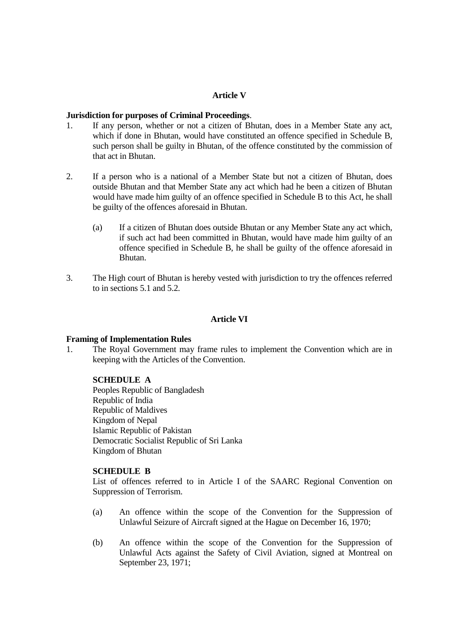## **Article V**

## **Jurisdiction for purposes of Criminal Proceedings**.

- 1. If any person, whether or not a citizen of Bhutan, does in a Member State any act, which if done in Bhutan, would have constituted an offence specified in Schedule B, such person shall be guilty in Bhutan, of the offence constituted by the commission of that act in Bhutan.
- 2. If a person who is a national of a Member State but not a citizen of Bhutan, does outside Bhutan and that Member State any act which had he been a citizen of Bhutan would have made him guilty of an offence specified in Schedule B to this Act, he shall be guilty of the offences aforesaid in Bhutan.
	- (a) If a citizen of Bhutan does outside Bhutan or any Member State any act which, if such act had been committed in Bhutan, would have made him guilty of an offence specified in Schedule B, he shall be guilty of the offence aforesaid in Bhutan.
- 3. The High court of Bhutan is hereby vested with jurisdiction to try the offences referred to in sections 5.1 and 5.2.

## **Article VI**

### **Framing of Implementation Rules**

1. The Royal Government may frame rules to implement the Convention which are in keeping with the Articles of the Convention.

### **SCHEDULE A**

Peoples Republic of Bangladesh Republic of India Republic of Maldives Kingdom of Nepal Islamic Republic of Pakistan Democratic Socialist Republic of Sri Lanka Kingdom of Bhutan

### **SCHEDULE B**

List of offences referred to in Article I of the SAARC Regional Convention on Suppression of Terrorism.

- (a) An offence within the scope of the Convention for the Suppression of Unlawful Seizure of Aircraft signed at the Hague on December 16, 1970;
- (b) An offence within the scope of the Convention for the Suppression of Unlawful Acts against the Safety of Civil Aviation, signed at Montreal on September 23, 1971;